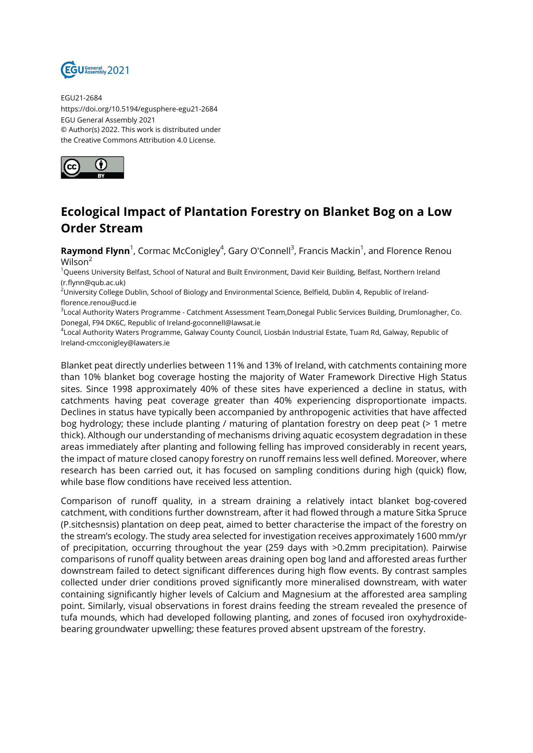

EGU21-2684 https://doi.org/10.5194/egusphere-egu21-2684 EGU General Assembly 2021 © Author(s) 2022. This work is distributed under the Creative Commons Attribution 4.0 License.



## **Ecological Impact of Plantation Forestry on Blanket Bog on a Low Order Stream**

**Raymond Flynn**<sup>1</sup>, Cormac McConigley<sup>4</sup>, Gary O'Connell<sup>3</sup>, Francis Mackin<sup>1</sup>, and Florence Renou Wilson<sup>2</sup>

<sup>1</sup>Queens University Belfast, School of Natural and Built Environment, David Keir Building, Belfast, Northern Ireland (r.flynn@qub.ac.uk)

<sup>2</sup>University College Dublin, School of Biology and Environmental Science, Belfield, Dublin 4, Republic of Irelandflorence.renou@ucd.ie

3 Local Authority Waters Programme - Catchment Assessment Team,Donegal Public Services Building, Drumlonagher, Co. Donegal, F94 DK6C, Republic of Ireland-goconnell@lawsat.ie

4 Local Authority Waters Programme, Galway County Council, Liosbán Industrial Estate, Tuam Rd, Galway, Republic of Ireland-cmcconigley@lawaters.ie

Blanket peat directly underlies between 11% and 13% of Ireland, with catchments containing more than 10% blanket bog coverage hosting the majority of Water Framework Directive High Status sites. Since 1998 approximately 40% of these sites have experienced a decline in status, with catchments having peat coverage greater than 40% experiencing disproportionate impacts. Declines in status have typically been accompanied by anthropogenic activities that have affected bog hydrology; these include planting / maturing of plantation forestry on deep peat (> 1 metre thick). Although our understanding of mechanisms driving aquatic ecosystem degradation in these areas immediately after planting and following felling has improved considerably in recent years, the impact of mature closed canopy forestry on runoff remains less well defined. Moreover, where research has been carried out, it has focused on sampling conditions during high (quick) flow, while base flow conditions have received less attention.

Comparison of runoff quality, in a stream draining a relatively intact blanket bog-covered catchment, with conditions further downstream, after it had flowed through a mature Sitka Spruce (P.sitchesnsis) plantation on deep peat, aimed to better characterise the impact of the forestry on the stream's ecology. The study area selected for investigation receives approximately 1600 mm/yr of precipitation, occurring throughout the year (259 days with >0.2mm precipitation). Pairwise comparisons of runoff quality between areas draining open bog land and afforested areas further downstream failed to detect significant differences during high flow events. By contrast samples collected under drier conditions proved significantly more mineralised downstream, with water containing significantly higher levels of Calcium and Magnesium at the afforested area sampling point. Similarly, visual observations in forest drains feeding the stream revealed the presence of tufa mounds, which had developed following planting, and zones of focused iron oxyhydroxidebearing groundwater upwelling; these features proved absent upstream of the forestry.